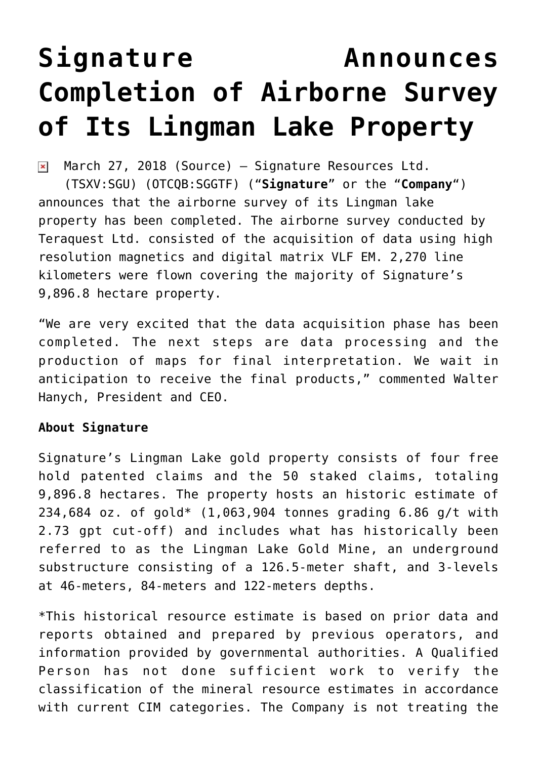## **[Signature Announces](https://investorintel.com/markets/gold-silver-base-metals/gold-precious-metals-news/signature-announces-completion-airborne-survey-lingman-lake-property/) [Completion of Airborne Survey](https://investorintel.com/markets/gold-silver-base-metals/gold-precious-metals-news/signature-announces-completion-airborne-survey-lingman-lake-property/) [of Its Lingman Lake Property](https://investorintel.com/markets/gold-silver-base-metals/gold-precious-metals-news/signature-announces-completion-airborne-survey-lingman-lake-property/)**

March 27, 2018 [\(Source\)](https://investorintel.com/iintel-members/signature-resources-ltd/) — Signature Resources Ltd.  $\pmb{\times}$ (TSXV:SGU) (OTCQB:SGGTF) ("**Signature**" or the "**Company**") announces that the airborne survey of its Lingman lake property has been completed. The airborne survey conducted by Teraquest Ltd. consisted of the acquisition of data using high resolution magnetics and digital matrix VLF EM. 2,270 line kilometers were flown covering the majority of Signature's 9,896.8 hectare property.

"We are very excited that the data acquisition phase has been completed. The next steps are data processing and the production of maps for final interpretation. We wait in anticipation to receive the final products," commented Walter Hanych, President and CEO.

## **About Signature**

Signature's Lingman Lake gold property consists of four free hold patented claims and the 50 staked claims, totaling 9,896.8 hectares. The property hosts an historic estimate of 234,684 oz. of gold\* (1,063,904 tonnes grading 6.86 g/t with 2.73 gpt cut-off) and includes what has historically been referred to as the Lingman Lake Gold Mine, an underground substructure consisting of a 126.5-meter shaft, and 3-levels at 46-meters, 84-meters and 122-meters depths.

\*This historical resource estimate is based on prior data and reports obtained and prepared by previous operators, and information provided by governmental authorities. A Qualified Person has not done sufficient work to verify the classification of the mineral resource estimates in accordance with current CIM categories. The Company is not treating the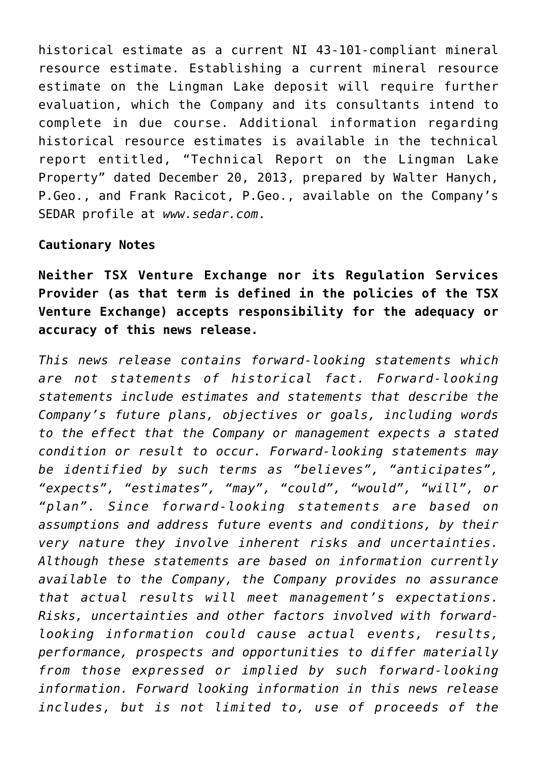historical estimate as a current NI 43-101-compliant mineral resource estimate. Establishing a current mineral resource estimate on the Lingman Lake deposit will require further evaluation, which the Company and its consultants intend to complete in due course. Additional information regarding historical resource estimates is available in the technical report entitled, "Technical Report on the Lingman Lake Property" dated December 20, 2013, prepared by Walter Hanych, P.Geo., and Frank Racicot, P.Geo., available on the Company's SEDAR profile at *[www.sedar.com](https://www.globenewswire.com/Tracker?data=3ov-4u9mqGrrAtVR4vpf1voLAIjs6X2zUpsz_JHHTcMOmwiAftsz7WLUlegv8l-7CBQzToFPcbqjj7oyTW6e5Q==)*.

## **Cautionary Notes**

**Neither TSX Venture Exchange nor its Regulation Services Provider (as that term is defined in the policies of the TSX Venture Exchange) accepts responsibility for the adequacy or accuracy of this news release.**

*This news release contains forward-looking statements which are not statements of historical fact. Forward-looking statements include estimates and statements that describe the Company's future plans, objectives or goals, including words to the effect that the Company or management expects a stated condition or result to occur. Forward-looking statements may be identified by such terms as "believes", "anticipates", "expects", "estimates", "may", "could", "would", "will", or "plan". Since forward-looking statements are based on assumptions and address future events and conditions, by their very nature they involve inherent risks and uncertainties. Although these statements are based on information currently available to the Company, the Company provides no assurance that actual results will meet management's expectations. Risks, uncertainties and other factors involved with forwardlooking information could cause actual events, results, performance, prospects and opportunities to differ materially from those expressed or implied by such forward-looking information. Forward looking information in this news release includes, but is not limited to, use of proceeds of the*